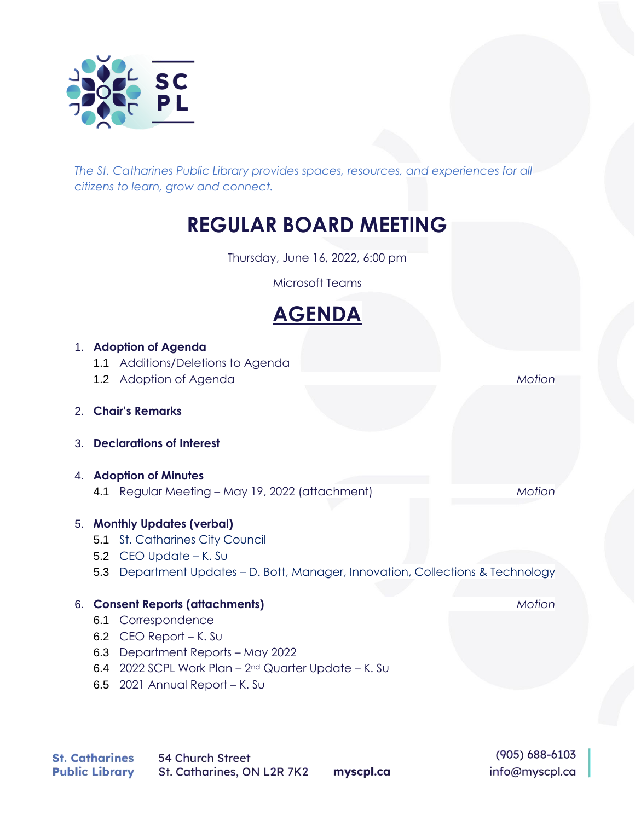

*The St. Catharines Public Library provides spaces, resources, and experiences for all citizens to learn, grow and connect.*

## **REGULAR BOARD MEETING**

Thursday, June 16, 2022, 6:00 pm

Microsoft Teams



|    | 1. Adoption of Agenda                                                                                   |        |
|----|---------------------------------------------------------------------------------------------------------|--------|
|    | 1.1 Additions/Deletions to Agenda                                                                       |        |
|    | 1.2 Adoption of Agenda                                                                                  | Motion |
| 2. | <b>Chair's Remarks</b>                                                                                  |        |
| 3. | <b>Declarations of Interest</b>                                                                         |        |
| 4. | <b>Adoption of Minutes</b>                                                                              |        |
|    | 4.1 Regular Meeting – May 19, 2022 (attachment)                                                         | Motion |
|    | 5. Monthly Updates (verbal)                                                                             |        |
|    | <b>St. Catharines City Council</b><br>5.1                                                               |        |
|    | $CEO$ Update $-K.$ Su<br>5.2                                                                            |        |
|    | Department Updates – D. Bott, Manager, Innovation, Collections & Technology<br>5.3                      |        |
|    |                                                                                                         |        |
|    | 6. Consent Reports (attachments)                                                                        | Motion |
|    | Correspondence<br>6.1                                                                                   |        |
|    | $CEO$ Report $-K.$ Su<br>6.2                                                                            |        |
|    | Department Reports - May 2022<br>6.3                                                                    |        |
|    | 2022 SCPL Work Plan - 2 <sup>nd</sup> Quarter Update - K. Su<br>6.4<br>6.5 $2021$ Annual Report – K. Su |        |

 $(905) 688 - 6103$ info@myscpl.ca